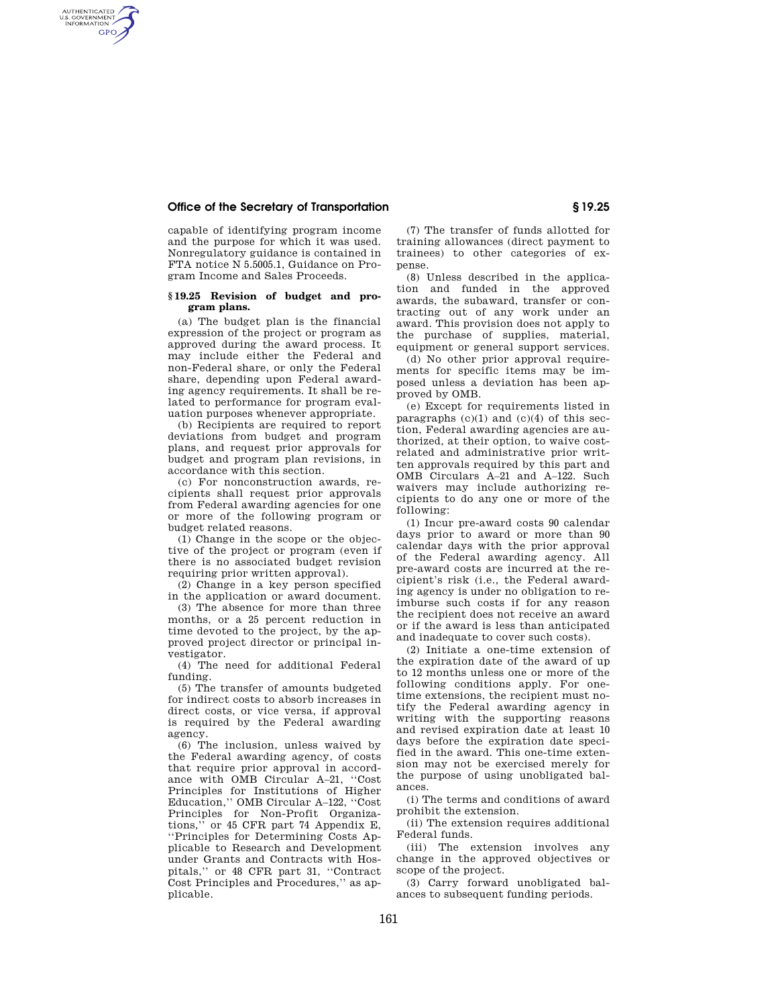## **Office of the Secretary of Transportation § 19.25**

AUTHENTICATED<br>U.S. GOVERNMENT<br>INFORMATION **GPO** 

> capable of identifying program income and the purpose for which it was used. Nonregulatory guidance is contained in FTA notice N 5.5005.1, Guidance on Program Income and Sales Proceeds.

## **§ 19.25 Revision of budget and program plans.**

(a) The budget plan is the financial expression of the project or program as approved during the award process. It may include either the Federal and non-Federal share, or only the Federal share, depending upon Federal awarding agency requirements. It shall be related to performance for program evaluation purposes whenever appropriate.

(b) Recipients are required to report deviations from budget and program plans, and request prior approvals for budget and program plan revisions, in accordance with this section.

(c) For nonconstruction awards, recipients shall request prior approvals from Federal awarding agencies for one or more of the following program or budget related reasons.

(1) Change in the scope or the objective of the project or program (even if there is no associated budget revision requiring prior written approval).

(2) Change in a key person specified in the application or award document.

(3) The absence for more than three months, or a 25 percent reduction in time devoted to the project, by the approved project director or principal investigator.

(4) The need for additional Federal funding.

(5) The transfer of amounts budgeted for indirect costs to absorb increases in direct costs, or vice versa, if approval is required by the Federal awarding agency.

(6) The inclusion, unless waived by the Federal awarding agency, of costs that require prior approval in accordance with OMB Circular A–21, ''Cost Principles for Institutions of Higher Education,'' OMB Circular A–122, ''Cost Principles for Non-Profit Organizations,'' or 45 CFR part 74 Appendix E, ''Principles for Determining Costs Applicable to Research and Development under Grants and Contracts with Hospitals,'' or 48 CFR part 31, ''Contract Cost Principles and Procedures,'' as applicable.

(7) The transfer of funds allotted for training allowances (direct payment to trainees) to other categories of expense.

(8) Unless described in the application and funded in the approved awards, the subaward, transfer or contracting out of any work under an award. This provision does not apply to the purchase of supplies, material, equipment or general support services.

(d) No other prior approval requirements for specific items may be imposed unless a deviation has been approved by OMB.

(e) Except for requirements listed in paragraphs  $(c)(1)$  and  $(c)(4)$  of this section, Federal awarding agencies are authorized, at their option, to waive costrelated and administrative prior written approvals required by this part and OMB Circulars A–21 and A–122. Such waivers may include authorizing recipients to do any one or more of the following:

(1) Incur pre-award costs 90 calendar days prior to award or more than 90 calendar days with the prior approval of the Federal awarding agency. All pre-award costs are incurred at the recipient's risk (i.e., the Federal awarding agency is under no obligation to reimburse such costs if for any reason the recipient does not receive an award or if the award is less than anticipated and inadequate to cover such costs).

(2) Initiate a one-time extension of the expiration date of the award of up to 12 months unless one or more of the following conditions apply. For onetime extensions, the recipient must notify the Federal awarding agency in writing with the supporting reasons and revised expiration date at least 10 days before the expiration date specified in the award. This one-time extension may not be exercised merely for the purpose of using unobligated balances.

(i) The terms and conditions of award prohibit the extension.

(ii) The extension requires additional Federal funds.

(iii) The extension involves any change in the approved objectives or scope of the project.

(3) Carry forward unobligated balances to subsequent funding periods.